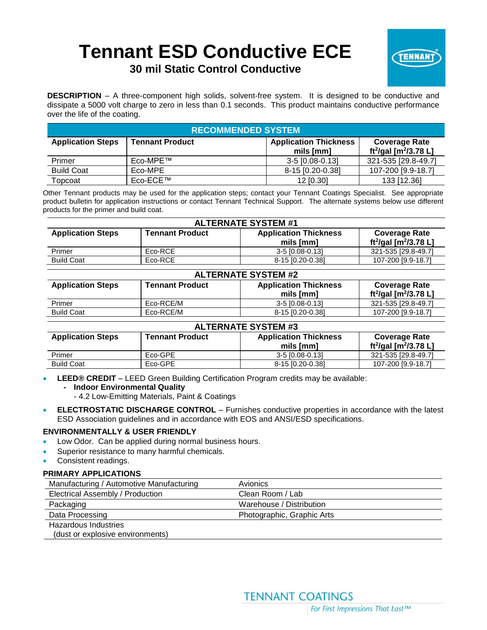# **Tennant ESD Conductive ECE**



# **30 mil Static Control Conductive**

**DESCRIPTION** – A three-component high solids, solvent-free system. It is designed to be conductive and dissipate a 5000 volt charge to zero in less than 0.1 seconds. This product maintains conductive performance over the life of the coating.

| <b>RECOMMENDED SYSTEM</b> |                        |                                           |                                                                       |  |
|---------------------------|------------------------|-------------------------------------------|-----------------------------------------------------------------------|--|
| <b>Application Steps</b>  | <b>Tennant Product</b> | <b>Application Thickness</b><br>mils [mm] | <b>Coverage Rate</b><br>ft <sup>2</sup> /gal [m <sup>2</sup> /3.78 L] |  |
| Primer                    | Eco-MPE™               | $3-5$ [0.08-0.13]                         | 321-535 [29.8-49.7]                                                   |  |
| <b>Build Coat</b>         | Eco-MPE                | 8-15 [0.20-0.38]                          | 107-200 [9.9-18.7]                                                    |  |
| Topcoat                   | Eco-ECE™               | $12$ [0.30]                               | 133 [12.36]                                                           |  |

Other Tennant products may be used for the application steps; contact your Tennant Coatings Specialist. See appropriate product bulletin for application instructions or contact Tennant Technical Support. The alternate systems below use different products for the primer and build coat.

| <b>ALTERNATE SYSTEM #1</b> |                        |                                           |                                                                       |
|----------------------------|------------------------|-------------------------------------------|-----------------------------------------------------------------------|
| <b>Application Steps</b>   | <b>Tennant Product</b> | <b>Application Thickness</b><br>mils [mm] | <b>Coverage Rate</b><br>ft <sup>2</sup> /gal [m <sup>2</sup> /3.78 L] |
| Primer                     | Eco-RCE                | 3-5 [0.08-0.13]                           | 321-535 [29.8-49.7]                                                   |
| <b>Build Coat</b>          | Eco-RCE                | 8-15 [0.20-0.38]                          | 107-200 [9.9-18.7]                                                    |

| <b>ALTERNATE SYSTEM #2</b> |                        |                                           |                                                                       |  |
|----------------------------|------------------------|-------------------------------------------|-----------------------------------------------------------------------|--|
| <b>Application Steps</b>   | <b>Tennant Product</b> | <b>Application Thickness</b><br>mils [mm] | <b>Coverage Rate</b><br>ft <sup>2</sup> /gal [m <sup>2</sup> /3.78 L] |  |
| Primer                     | Eco-RCE/M              | $3-5$ [0.08-0.13]                         | 321-535 [29.8-49.7]                                                   |  |
| <b>Build Coat</b>          | Eco-RCE/M              | 8-15 [0.20-0.38]                          | 107-200 [9.9-18.7]                                                    |  |

| <b>ALTERNATE SYSTEM #3</b> |                        |                                           |                                                                       |
|----------------------------|------------------------|-------------------------------------------|-----------------------------------------------------------------------|
| <b>Application Steps</b>   | <b>Tennant Product</b> | <b>Application Thickness</b><br>mils [mm] | <b>Coverage Rate</b><br>ft <sup>2</sup> /gal [m <sup>2</sup> /3.78 L] |
| Primer                     | Eco-GPE                | 3-5 [0.08-0.13]                           | 321-535 [29.8-49.7]                                                   |
| <b>Build Coat</b>          | Eco-GPE                | 8-15 [0.20-0.38]                          | 107-200 [9.9-18.7]                                                    |

• **LEED® CREDIT** – LEED Green Building Certification Program credits may be available:

#### **- Indoor Environmental Quality**

- 4.2 Low-Emitting Materials, Paint & Coatings
- **ELECTROSTATIC DISCHARGE CONTROL** Furnishes conductive properties in accordance with the latest ESD Association guidelines and in accordance with EOS and ANSI/ESD specifications.

# **ENVIRONMENTALLY & USER FRIENDLY**

- Low Odor. Can be applied during normal business hours.
- Superior resistance to many harmful chemicals.
- Consistent readings.

# **PRIMARY APPLICATIONS**

| Manufacturing / Automotive Manufacturing | <b>Avionics</b>            |
|------------------------------------------|----------------------------|
| Electrical Assembly / Production         | Clean Room / Lab           |
| Packaging                                | Warehouse / Distribution   |
| Data Processing                          | Photographic, Graphic Arts |
| Hazardous Industries                     |                            |
| (dust or explosive environments)         |                            |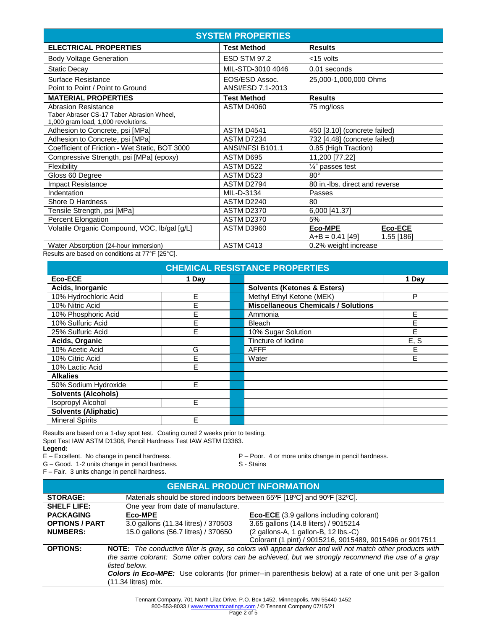| <b>SYSTEM PROPERTIES</b>                                                                                       |                                     |                                                              |  |  |  |
|----------------------------------------------------------------------------------------------------------------|-------------------------------------|--------------------------------------------------------------|--|--|--|
| <b>ELECTRICAL PROPERTIES</b>                                                                                   | <b>Test Method</b>                  | <b>Results</b>                                               |  |  |  |
| <b>Body Voltage Generation</b>                                                                                 | <b>ESD STM 97.2</b>                 | <15 volts                                                    |  |  |  |
| <b>Static Decay</b>                                                                                            | MIL-STD-3010 4046                   | 0.01 seconds                                                 |  |  |  |
| Surface Resistance<br>Point to Point / Point to Ground                                                         | EOS/ESD Assoc.<br>ANSI/ESD 7.1-2013 | 25,000-1,000,000 Ohms                                        |  |  |  |
| <b>MATERIAL PROPERTIES</b>                                                                                     | <b>Test Method</b>                  | <b>Results</b>                                               |  |  |  |
| <b>Abrasion Resistance</b><br>Taber Abraser CS-17 Taber Abrasion Wheel,<br>1,000 gram load, 1,000 revolutions. | <b>ASTM D4060</b>                   | 75 mg/loss                                                   |  |  |  |
| Adhesion to Concrete, psi [MPa]                                                                                | ASTM D4541                          | 450 [3.10] (concrete failed)                                 |  |  |  |
| Adhesion to Concrete, psi [MPa]                                                                                | ASTM D7234                          | 732 [4.48] (concrete failed)                                 |  |  |  |
| Coefficient of Friction - Wet Static, BOT 3000                                                                 | ANSI/NFSI B101.1                    | 0.85 (High Traction)                                         |  |  |  |
| Compressive Strength, psi [MPa] (epoxy)                                                                        | ASTM D695                           | 11,200 [77.22]                                               |  |  |  |
| Flexibility                                                                                                    | ASTM D522                           | $\frac{1}{4}$ " passes test                                  |  |  |  |
| Gloss 60 Degree                                                                                                | ASTM D523                           | $80^\circ$                                                   |  |  |  |
| <b>Impact Resistance</b>                                                                                       | ASTM D2794                          | 80 in.-Ibs. direct and reverse                               |  |  |  |
| Indentation                                                                                                    | MIL-D-3134                          | Passes                                                       |  |  |  |
| Shore D Hardness                                                                                               | ASTM D2240                          | 80                                                           |  |  |  |
| Tensile Strength, psi [MPa]                                                                                    | <b>ASTM D2370</b>                   | 6,000 [41.37]                                                |  |  |  |
| Percent Elongation                                                                                             | <b>ASTM D2370</b>                   | 5%                                                           |  |  |  |
| Volatile Organic Compound, VOC, lb/gal [g/L]                                                                   | ASTM D3960                          | <b>Eco-ECE</b><br>Eco-MPE<br>$A+B = 0.41$ [49]<br>1.55 [186] |  |  |  |
| Water Absorption (24-hour immersion)                                                                           | ASTM C413                           | 0.2% weight increase                                         |  |  |  |

Results are based on conditions at 77°F [25°C].

| <b>CHEMICAL RESISTANCE PROPERTIES</b> |       |  |                                            |       |
|---------------------------------------|-------|--|--------------------------------------------|-------|
| Eco-ECE                               | 1 Day |  |                                            | 1 Day |
| Acids, Inorganic                      |       |  | <b>Solvents (Ketones &amp; Esters)</b>     |       |
| 10% Hydrochloric Acid                 | E     |  | Methyl Ethyl Ketone (MEK)                  | P     |
| 10% Nitric Acid                       | E     |  | <b>Miscellaneous Chemicals / Solutions</b> |       |
| 10% Phosphoric Acid                   | F     |  | Ammonia                                    | E     |
| 10% Sulfuric Acid                     | E     |  | <b>Bleach</b>                              | E     |
| 25% Sulfuric Acid                     | F     |  | 10% Sugar Solution                         | E     |
| Acids, Organic                        |       |  | Tincture of Iodine                         | E, S  |
| 10% Acetic Acid                       | G     |  | <b>AFFF</b>                                | F     |
| 10% Citric Acid                       | F     |  | Water                                      | Е     |
| 10% Lactic Acid                       | F     |  |                                            |       |
| <b>Alkalies</b>                       |       |  |                                            |       |
| 50% Sodium Hydroxide                  | E     |  |                                            |       |
| <b>Solvents (Alcohols)</b>            |       |  |                                            |       |
| <b>Isopropyl Alcohol</b>              | F     |  |                                            |       |
| <b>Solvents (Aliphatic)</b>           |       |  |                                            |       |
| <b>Mineral Spirits</b>                | E     |  |                                            |       |

Results are based on a 1-day spot test. Coating cured 2 weeks prior to testing. Spot Test IAW ASTM D1308, Pencil Hardness Test IAW ASTM D3363.

Legend:<br>E - Excellent. No change in pencil hardness.

G – Good. 1-2 units change in pencil hardness. S - Stains

F – Fair. 3 units change in pencil hardness.

P – Poor. 4 or more units change in pencil hardness.

| <b>GENERAL PRODUCT INFORMATION</b>                                                                                          |                                                                         |                                        |  |  |
|-----------------------------------------------------------------------------------------------------------------------------|-------------------------------------------------------------------------|----------------------------------------|--|--|
| <b>STORAGE:</b>                                                                                                             | Materials should be stored indoors between 65°F [18°C] and 90°F [32°C]. |                                        |  |  |
| <b>SHELF LIFE:</b>                                                                                                          | One year from date of manufacture.                                      |                                        |  |  |
| <b>PACKAGING</b><br>Eco-MPE<br><b>Eco-ECE</b> (3.9 gallons including colorant)                                              |                                                                         |                                        |  |  |
| <b>OPTIONS / PART</b>                                                                                                       | 3.0 gallons (11.34 litres) / 370503                                     | 3.65 gallons (14.8 liters) / 9015214   |  |  |
| <b>NUMBERS:</b>                                                                                                             | 15.0 gallons (56.7 litres) / 370650                                     | $(2$ gallons-A, 1 gallon-B, 12 lbs.-C) |  |  |
|                                                                                                                             | Colorant (1 pint) / 9015216, 9015489, 9015496 or 9017511                |                                        |  |  |
| NOTE: The conductive filler is gray, so colors will appear darker and will not match other products with<br><b>OPTIONS:</b> |                                                                         |                                        |  |  |
| the same colorant: Some other colors can be achieved, but we strongly recommend the use of a gray                           |                                                                         |                                        |  |  |
| listed below.                                                                                                               |                                                                         |                                        |  |  |
| <b>Colors in Eco-MPE:</b> Use colorants (for primer--in parenthesis below) at a rate of one unit per 3-gallon               |                                                                         |                                        |  |  |
|                                                                                                                             | (11.34 litres) mix.                                                     |                                        |  |  |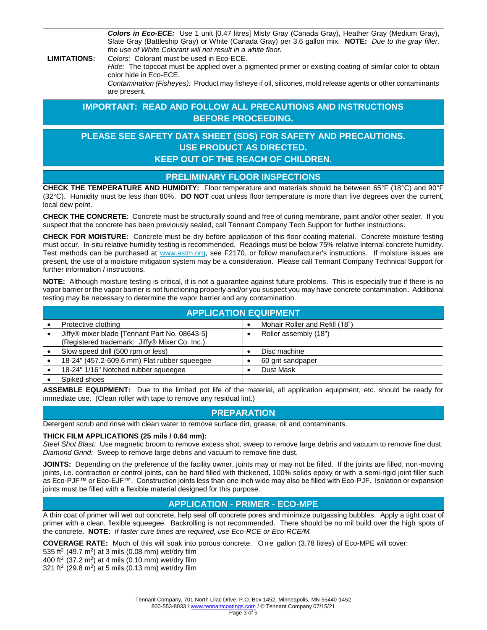*Colors in Eco-ECE:* Use 1 unit [0.47 litres] Misty Gray (Canada Gray), Heather Gray (Medium Gray), Slate Gray (Battleship Gray) or White (Canada Gray) per 3.6 gallon mix. **NOTE:** *Due to the gray filler, the use of White Colorant will not result in a white floor.*

**LIMITATIONS:** *Colors:* Colorant must be used in Eco-ECE.

*Hide:* The topcoat must be applied over a pigmented primer or existing coating of similar color to obtain color hide in Eco-ECE.

*Contamination (Fisheyes):* Product may fisheye if oil, silicones, mold release agents or other contaminants are present.

# **IMPORTANT: READ AND FOLLOW ALL PRECAUTIONS AND INSTRUCTIONS BEFORE PROCEEDING.**

# **PLEASE SEE SAFETY DATA SHEET (SDS) FOR SAFETY AND PRECAUTIONS. USE PRODUCT AS DIRECTED. KEEP OUT OF THE REACH OF CHILDREN.**

# **PRELIMINARY FLOOR INSPECTIONS**

**CHECK THE TEMPERATURE AND HUMIDITY:** Floor temperature and materials should be between 65°F (18°C) and 90°F (32°C). Humidity must be less than 80%. **DO NOT** coat unless floor temperature is more than five degrees over the current, local dew point.

**CHECK THE CONCRETE**: Concrete must be structurally sound and free of curing membrane, paint and/or other sealer. If you suspect that the concrete has been previously sealed, call Tennant Company Tech Support for further instructions.

**CHECK FOR MOISTURE:** Concrete must be dry before application of this floor coating material. Concrete moisture testing must occur. In-situ relative humidity testing is recommended. Readings must be below 75% relative internal concrete humidity. Test methods can be purchased at www.astm.org, see F2170, or follow manufacturer's instructions. If moisture issues are present, the use of a moisture mitigation system may be a consideration. Please call Tennant Company Technical Support for further information / instructions.

**NOTE:** Although moisture testing is critical, it is not a guarantee against future problems. This is especially true if there is no vapor barrier or the vapor barrier is not functioning properly and/or you suspect you may have concrete contamination. Additional testing may be necessary to determine the vapor barrier and any contamination.

| <b>APPLICATION EQUIPMENT</b>                                                                   |  |                                |  |  |
|------------------------------------------------------------------------------------------------|--|--------------------------------|--|--|
| Protective clothing                                                                            |  | Mohair Roller and Refill (18") |  |  |
| Jiffy® mixer blade [Tennant Part No. 08643-5]<br>(Registered trademark: Jiffy® Mixer Co. Inc.) |  | Roller assembly (18")          |  |  |
| Slow speed drill (500 rpm or less)                                                             |  | Disc machine                   |  |  |
| 18-24" (457.2-609.6 mm) Flat rubber squeegee                                                   |  | 60 grit sandpaper              |  |  |
| 18-24" 1/16" Notched rubber squeeqee                                                           |  | Dust Mask                      |  |  |
| Spiked shoes                                                                                   |  |                                |  |  |

**ASSEMBLE EQUIPMENT:** Due to the limited pot life of the material, all application equipment, etc. should be ready for immediate use. (Clean roller with tape to remove any residual lint.)

# **PREPARATION**

Detergent scrub and rinse with clean water to remove surface dirt, grease, oil and contaminants.

#### **THICK FILM APPLICATIONS (25 mils / 0.64 mm):**

*Steel Shot Blast:* Use magnetic broom to remove excess shot, sweep to remove large debris and vacuum to remove fine dust. *Diamond Grind:* Sweep to remove large debris and vacuum to remove fine dust.

JOINTS: Depending on the preference of the facility owner, joints may or may not be filled. If the joints are filled, non-moving joints, i.e. contraction or control joints, can be hard filled with thickened, 100% solids epoxy or with a semi-rigid joint filler such as Eco-PJF™ or Eco-EJF™. Construction joints less than one inch wide may also be filled with Eco-PJF. Isolation or expansion joints must be filled with a flexible material designed for this purpose.

# **APPLICATION - PRIMER - ECO-MPE**

A thin coat of primer will wet out concrete, help seal off concrete pores and minimize outgassing bubbles. Apply a tight coat of primer with a clean, flexible squeegee. Backrolling is not recommended. There should be no mil build over the high spots of the concrete. **NOTE:** *If faster cure times are required, use Eco-RCE or Eco-RCE/M.*

**COVERAGE RATE:** Much of this will soak into porous concrete. One gallon (3.78 litres) of Eco-MPE will cover:

535 ft<sup>2</sup> (49.7 m<sup>2</sup>) at 3 mils (0.08 mm) wet/dry film

400 ft<sup>2</sup> (37.2 m<sup>2</sup>) at 4 mils (0.10 mm) wet/dry film

321 ft<sup>2</sup> (29.8 m<sup>2</sup>) at 5 mils (0.13 mm) wet/dry film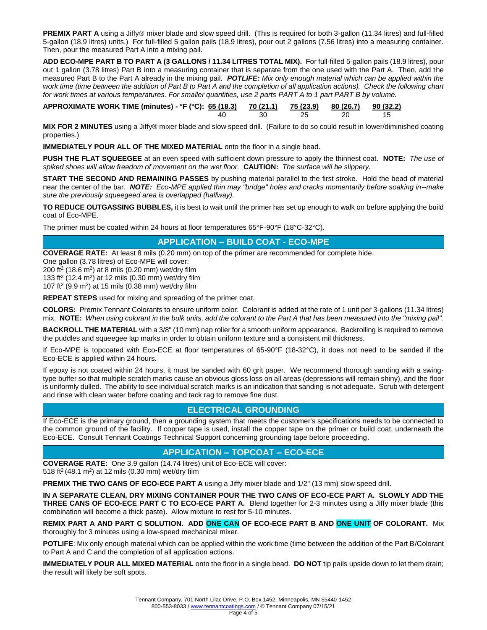**PREMIX PART A** using a Jiffy® mixer blade and slow speed drill. (This is required for both 3-gallon (11.34 litres) and full-filled 5-gallon (18.9 litres) units.) For full-filled 5 gallon pails (18.9 litres), pour out 2 gallons (7.56 litres) into a measuring container. Then, pour the measured Part A into a mixing pail.

**ADD ECO-MPE PART B TO PART A (3 GALLONS / 11.34 LITRES TOTAL MIX).** For full-filled 5-gallon pails (18.9 litres), pour out 1 gallon (3.78 litres) Part B into a measuring container that is separate from the one used with the Part A. Then, add the measured Part B to the Part A already in the mixing pail. *POTLIFE: Mix only enough material which can be applied within the*  work time (time between the addition of Part B to Part A and the completion of all application actions). Check the following chart *for work times at various temperatures. For smaller quantities, use 2 parts PART A to 1 part PART B by volume.* 

**APPROXIMATE WORK TIME (minutes) - °F (°C): 65 (18.3) 70 (21.1) 75 (23.9) 80 (26.7) 90 (32.2)** 40 30 25 20 15

**MIX FOR 2 MINUTES** using a Jiffy® mixer blade and slow speed drill. (Failure to do so could result in lower/diminished coating properties.)

**IMMEDIATELY POUR ALL OF THE MIXED MATERIAL** onto the floor in a single bead.

**PUSH THE FLAT SQUEEGEE** at an even speed with sufficient down pressure to apply the thinnest coat. **NOTE:** *The use of spiked shoes will allow freedom of movement on the wet floor.* **CAUTION:** *The surface will be slippery.*

**START THE SECOND AND REMAINING PASSES** by pushing material parallel to the first stroke. Hold the bead of material near the center of the bar. *NOTE: Eco-MPE applied thin may "bridge" holes and cracks momentarily before soaking in--make sure the previously squeegeed area is overlapped (halfway).*

**TO REDUCE OUTGASSING BUBBLES,** it is best to wait until the primer has set up enough to walk on before applying the build coat of Eco-MPE.

The primer must be coated within 24 hours at floor temperatures 65°F-90°F (18°C-32°C).

# **APPLICATION – BUILD COAT - ECO-MPE**

**COVERAGE RATE:** At least 8 mils (0.20 mm) on top of the primer are recommended for complete hide.

One gallon (3.78 litres) of Eco-MPE will cover:

200 ft<sup>2</sup> (18.6 m<sup>2</sup>) at 8 mils (0.20 mm) wet/dry film

133 ft<sup>2</sup> (12.4 m<sup>2</sup>) at 12 mils (0.30 mm) wet/dry film

107 ft<sup>2</sup> (9.9 m<sup>2</sup>) at 15 mils (0.38 mm) wet/dry film

**REPEAT STEPS** used for mixing and spreading of the primer coat.

**COLORS:** Premix Tennant Colorants to ensure uniform color. Colorant is added at the rate of 1 unit per 3-gallons (11.34 litres) mix. **NOTE:** *When using colorant in the bulk units, add the colorant to the Part A that has been measured into the "mixing pail".*

**BACKROLL THE MATERIAL** with a 3/8" (10 mm) nap roller for a smooth uniform appearance. Backrolling is required to remove the puddles and squeegee lap marks in order to obtain uniform texture and a consistent mil thickness.

If Eco-MPE is topcoated with Eco-ECE at floor temperatures of 65-90°F (18-32°C), it does not need to be sanded if the Eco-ECE is applied within 24 hours.

If epoxy is not coated within 24 hours, it must be sanded with 60 grit paper. We recommend thorough sanding with a swingtype buffer so that multiple scratch marks cause an obvious gloss loss on all areas (depressions will remain shiny), and the floor is uniformly dulled. The ability to see individual scratch marks is an indication that sanding is not adequate. Scrub with detergent and rinse with clean water before coating and tack rag to remove fine dust.

# **ELECTRICAL GROUNDING**

If Eco-ECE is the primary ground, then a grounding system that meets the customer's specifications needs to be connected to the common ground of the facility. If copper tape is used, install the copper tape on the primer or build coat, underneath the Eco-ECE. Consult Tennant Coatings Technical Support concerning grounding tape before proceeding.

# **APPLICATION – TOPCOAT – ECO-ECE**

**COVERAGE RATE:** One 3.9 gallon (14.74 litres) unit of Eco-ECE will cover: 518 ft<sup>2</sup> (48.1 m<sup>2</sup>) at 12 mils (0.30 mm) wet/dry film

**PREMIX THE TWO CANS OF ECO-ECE PART A** using a Jiffy mixer blade and 1/2" (13 mm) slow speed drill.

**IN A SEPARATE CLEAN, DRY MIXING CONTAINER POUR THE TWO CANS OF ECO-ECE PART A. SLOWLY ADD THE THREE CANS OF ECO-ECE PART C TO ECO-ECE PART A.** Blend together for 2-3 minutes using a Jiffy mixer blade (this combination will become a thick paste). Allow mixture to rest for 5-10 minutes.

**REMIX PART A AND PART C SOLUTION. ADD ONE CAN OF ECO-ECE PART B AND ONE UNIT OF COLORANT.** Mix thoroughly for 3 minutes using a low-speed mechanical mixer.

**POTLIFE**: Mix only enough material which can be applied within the work time (time between the addition of the Part B/Colorant to Part A and C and the completion of all application actions.

**IMMEDIATELY POUR ALL MIXED MATERIAL** onto the floor in a single bead. **DO NOT** tip pails upside down to let them drain; the result will likely be soft spots.